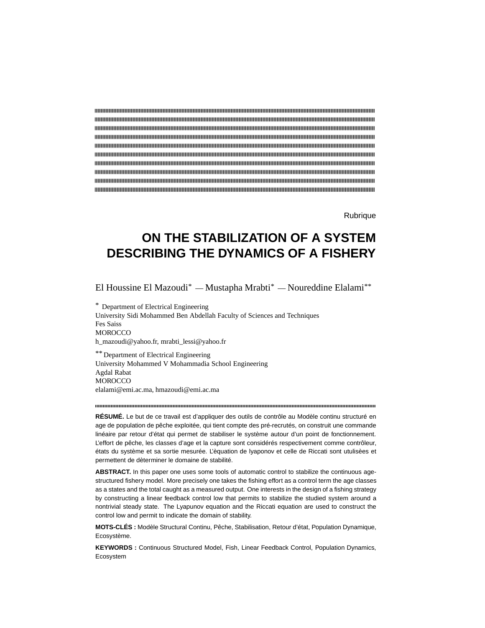**Rubrique** 

# **ON THE STABILIZATION OF A SYSTEM DESCRIBING THE DYNAMICS OF A FISHERY**

El Houssine El Mazoudi\* — Mustapha Mrabti\* — Noureddine Elalami\*\*

\* Department of Electrical Engineering University Sidi Mohammed Ben Abdellah Faculty of Sciences and Techniques Fes Saiss **MOROCCO** h\_mazoudi@yahoo.fr, mrabti\_lessi@yahoo.fr

\*\* Department of Electrical Engineering University Mohammed V Mohammadia School Engineering Agdal Rabat **MOROCCO** elalami@emi.ac.ma, hmazoudi@emi.ac.ma

**RÉSUMÉ.** Le but de ce travail est d'appliquer des outils de contrôle au Modèle continu structuré en age de population de pêche exploitée, qui tient compte des pré-recrutés, on construit une commande linéaire par retour d'état qui permet de stabiliser le système autour d'un point de fonctionnement. L'effort de pêche, les classes d'age et la capture sont considérés respectivement comme contrôleur, états du système et sa sortie mesurée. L'èquation de lyaponov et celle de Riccati sont utulisèes et permettent de dèterminer le domaine de stabilité.

**ABSTRACT.** In this paper one uses some tools of automatic control to stabilize the continuous agestructured fishery model. More precisely one takes the fishing effort as a control term the age classes as a states and the total caught as a measured output. One interests in the design of a fishing strategy by constructing a linear feedback control low that permits to stabilize the studied system around a nontrivial steady state. The Lyapunov equation and the Riccati equation are used to construct the control low and permit to indicate the domain of stability.

**MOTS-CLÉS :** Modèle Structural Continu, Pêche, Stabilisation, Retour d'état, Population Dynamique, Ecosystème.

**KEYWORDS :** Continuous Structured Model, Fish, Linear Feedback Control, Population Dynamics, Ecosystem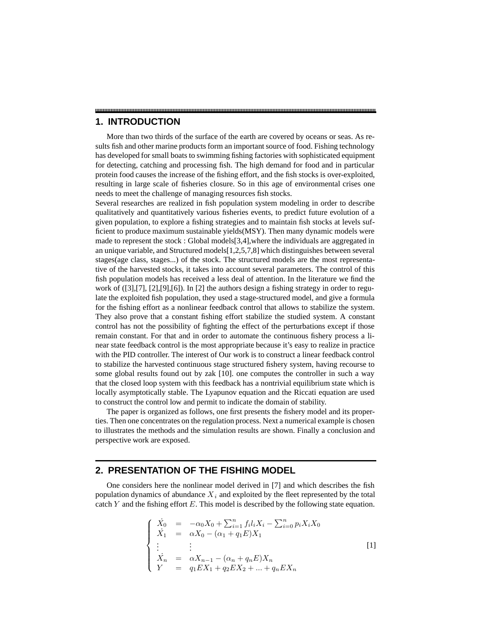## **1. INTRODUCTION**

More than two thirds of the surface of the earth are covered by oceans or seas. As results fish and other marine products form an important source of food. Fishing technology has developed for small boats to swimming fishing factories with sophisticated equipment for detecting, catching and processing fish. The high demand for food and in particular protein food causes the increase of the fishing effort, and the fish stocks is over-exploited, resulting in large scale of fisheries closure. So in this age of environmental crises one needs to meet the challenge of managing resources fish stocks.

Several researches are realized in fish population system modeling in order to describe qualitatively and quantitatively various fisheries events, to predict future evolution of a given population, to explore a fishing strategies and to maintain fish stocks at levels sufficient to produce maximum sustainable yields(MSY). Then many dynamic models were made to represent the stock : Global models[3,4],where the individuals are aggregated in an unique variable, and Structured models[1,2,5,7,8] which distinguishes between several stages(age class, stages...) of the stock. The structured models are the most representative of the harvested stocks, it takes into account several parameters. The control of this fish population models has received a less deal of attention. In the literature we find the work of  $([3],[7],[2],[9],[6])$ . In [2] the authors design a fishing strategy in order to regulate the exploited fish population, they used a stage-structured model, and give a formula for the fishing effort as a nonlinear feedback control that allows to stabilize the system. They also prove that a constant fishing effort stabilize the studied system. A constant control has not the possibility of fighting the effect of the perturbations except if those remain constant. For that and in order to automate the continuous fishery process a linear state feedback control is the most appropriate because it's easy to realize in practice with the PID controller. The interest of Our work is to construct a linear feedback control to stabilize the harvested continuous stage structured fishery system, having recourse to some global results found out by zak [10]. one computes the controller in such a way that the closed loop system with this feedback has a nontrivial equilibrium state which is locally asymptotically stable. The Lyapunov equation and the Riccati equation are used to construct the control low and permit to indicate the domain of stability.

The paper is organized as follows, one first presents the fishery model and its properties. Then one concentrates on the regulation process. Next a numerical example is chosen to illustrates the methods and the simulation results are shown. Finally a conclusion and perspective work are exposed.

## **2. PRESENTATION OF THE FISHING MODEL**

One considers here the nonlinear model derived in [7] and which describes the fish population dynamics of abundance  $X_i$  and exploited by the fleet represented by the total catch Y and the fishing effort  $E$ . This model is described by the following state equation.

$$
\begin{cases}\n\dot{X}_0 = -\alpha_0 X_0 + \sum_{i=1}^n f_i l_i X_i - \sum_{i=0}^n p_i X_i X_0 \\
\dot{X}_1 = \alpha X_0 - (\alpha_1 + q_1 E) X_1 \\
\vdots \\
\dot{X}_n = \alpha X_{n-1} - (\alpha_n + q_n E) X_n \\
Y = q_1 E X_1 + q_2 E X_2 + \dots + q_n E X_n\n\end{cases}
$$
\n[1]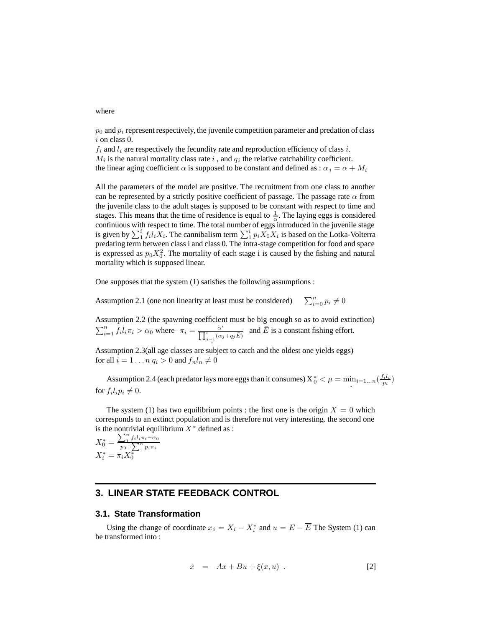where

 $p_0$  and  $p_i$  represent respectively, the juvenile competition parameter and predation of class i on class 0.

 $f_i$  and  $l_i$  are respectively the fecundity rate and reproduction efficiency of class i.  $M_i$  is the natural mortality class rate i, and  $q_i$  the relative catchability coefficient. the linear aging coefficient  $\alpha$  is supposed to be constant and defined as :  $\alpha_i = \alpha + M_i$ 

All the parameters of the model are positive. The recruitment from one class to another can be represented by a strictly positive coefficient of passage. The passage rate  $\alpha$  from the juvenile class to the adult stages is supposed to be constant with respect to time and stages. This means that the time of residence is equal to  $\frac{1}{\alpha}$ . The laying eggs is considered continuous with respect to time. The total number of eggs introduced in the juvenile stage is given by  $\sum_{i=1}^{i} f_i l_i X_i$ . The cannibalism term  $\sum_{i=1}^{i} p_i X_0 X_i$  is based on the Lotka-Volterra predating term between class i and class 0. The intra-stage competition for food and space is expressed as  $p_0 X_0^2$ . The mortality of each stage i is caused by the fishing and natural mortality which is supposed linear.

One supposes that the system (1) satisfies the following assumptions :

Assumption 2.1 (one non linearity at least must be considered)  $\sum_{i=0}^{n} p_i \neq 0$ 

Assumption 2.2 (the spawning coefficient must be big enough so as to avoid extinction)  $\sum_{i=1}^{n} f_i l_i \pi_i > \alpha_0$  where  $\pi_i = \frac{\alpha^i}{\prod_{j=1}^{i} (\alpha_j + q_j \bar{E})}$ and  $\overline{E}$  is a constant fishing effort.

Assumption 2.3(all age classes are subject to catch and the oldest one yields eggs) for all  $i = 1 \ldots n$   $q_i > 0$  and  $f_n l_n \neq 0$ 

Assumption 2.4 (each predator lays more eggs than it consumes)  $X_0^* < \mu = \min_{i=1...n} (\frac{f_i l_i}{p_i})$  for  $f_i l_i p_i \neq 0$ .

The system (1) has two equilibrium points : the first one is the origin  $X = 0$  which corresponds to an extinct population and is therefore not very interesting. the second one is the nontrivial equilibrium  $X^*$  defined as :

$$
X_0^* = \frac{\sum_{1}^{n} f_i l_i \pi_i - \alpha_0}{p_0 + \sum_{1}^{n} p_i \pi_i}
$$
  

$$
X_i^* = \pi_i X_0^*
$$

## **3. LINEAR STATE FEEDBACK CONTROL**

#### **3.1. State Transformation**

Using the change of coordinate  $x_i = X_i - X_i^*$  and  $u = E - \overline{E}$  The System (1) can be transformed into :

$$
\dot{x} = Ax + Bu + \xi(x, u) . \tag{2}
$$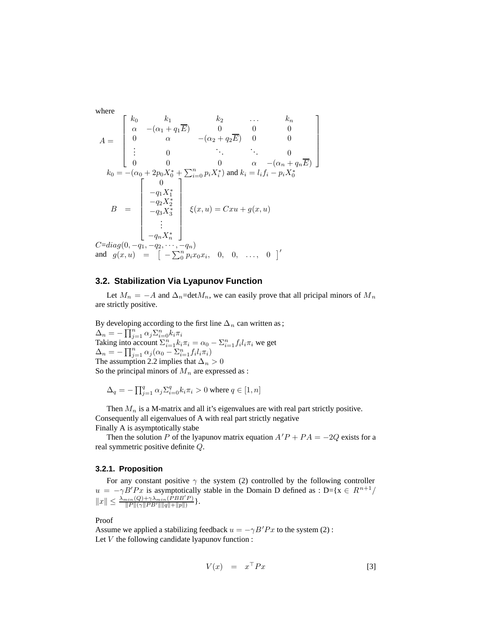where

$$
A = \begin{bmatrix} k_0 & k_1 & k_2 & \dots & k_n \\ \alpha & -(\alpha_1 + q_1 \overline{E}) & 0 & 0 & 0 \\ 0 & \alpha & -(\alpha_2 + q_2 \overline{E}) & 0 & 0 \\ \vdots & 0 & \ddots & \ddots & 0 \\ 0 & 0 & 0 & \alpha & -(\alpha_n + q_n \overline{E}) \end{bmatrix}
$$

$$
k_0 = -(\alpha_0 + 2p_0 X_0^* + \sum_{i=0}^n p_i X_i^*) \text{ and } k_i = l_i f_i - p_i X_0^*
$$

$$
B = \begin{bmatrix} 0 \\ -q_1 X_1^* \\ -q_2 X_2^* \\ -q_3 X_3^* \\ \vdots \\ -q_n X_n^* \end{bmatrix} \xi(x, u) = Cxu + g(x, u)
$$

$$
C = diag(0, -q_1, -q_2, \dots, -q_n)
$$
and  $g(x, u) = \begin{bmatrix} -\sum_{i=0}^n p_i x_0 x_i, & 0, & 0, & \dots, & 0 \end{bmatrix}'$ 

### **3.2. Stabilization Via Lyapunov Function**

Let  $M_n = -A$  and  $\Delta_n = \text{det} M_n$ , we can easily prove that all pricipal minors of  $M_n$ are strictly positive.

By developing according to the first line  $\Delta_n$  can written as ;  $\Delta_n = -\prod_{j=1}^n \alpha_j \Sigma_{i=0}^n k_i \pi_i$ Taking into account  $\sum_{i=1}^{n} k_i \pi_i = \alpha_0 - \sum_{i=1}^{n} f_i l_i \pi_i$  we get  $\Delta_n = -\prod_{j=1}^n \alpha_j (\alpha_0 - \sum_{i=1}^n f_i l_i \pi_i)$ The assumption 2.2 implies that  $\Delta_n > 0$ So the principal minors of  $M_n$  are expressed as :

$$
\Delta_q = -\prod_{j=1}^q \alpha_j \Sigma_{i=0}^q k_i \pi_i > 0 \text{ where } q \in [1, n]
$$

Then  $M_n$  is a M-matrix and all it's eigenvalues are with real part strictly positive. Consequently all eigenvalues of A with real part strictly negative Finally A is asymptotically stabe

Then the solution P of the lyapunov matrix equation  $A'P + PA = -2Q$  exists for a real symmetric positive definite Q.

#### **3.2.1. Proposition**

For any constant positive  $\gamma$  the system (2) controlled by the following controller  $u = -\gamma B' P x$  is asymptotically stable in the Domain D defined as : D={x  $\in R^{n+1}/R$  $||x|| \leq \frac{\lambda_{min}(Q) + \gamma \lambda_{min}(PBB'P)}{||P||(\gamma||PB'\| ||q|| + ||p||)}\}.$ 

Proof

Assume we applied a stabilizing feedback  $u = -\gamma B'Px$  to the system (2): Let  $V$  the following candidate lyapunov function :

$$
V(x) = x^{\top} P x \tag{3}
$$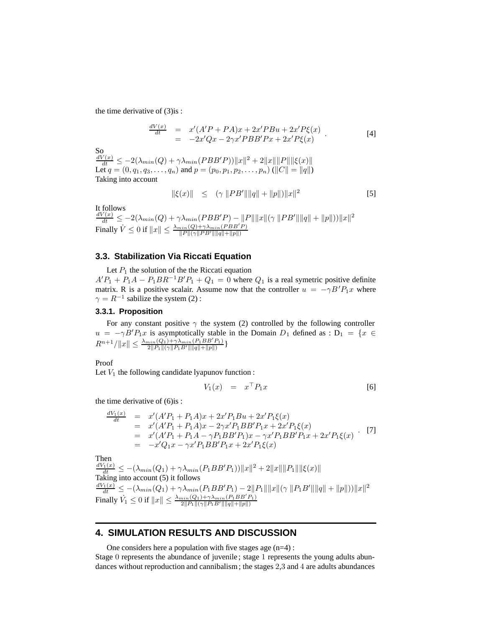the time derivative of (3)is :

$$
\frac{dV(x)}{dt} = x'(A'P + PA)x + 2x'PBu + 2x'P\xi(x) \n= -2x'Qx - 2\gamma x'PBB'Px + 2x'P\xi(x)
$$
\n[4]

 $\frac{dV(x)}{dt} \le -2(\lambda_{min}(Q) + \gamma \lambda_{min}(PBB'P)) ||x||^2 + 2||x||||P||||\xi(x)||$ Let  $q = (0, q_1, q_3, \dots, q_n)$  and  $p = (p_0, p_1, p_2, \dots, p_n) (||C|| = ||q||)$ Taking into account

$$
\|\xi(x)\| \le (\gamma \|P B' \| \|q\| + \|p\|) \|x\|^2 \tag{5}
$$

It follows  $\frac{dV(x)}{dt} \le -2(\lambda_{min}(Q) + \gamma \lambda_{min}(PBB'P) - ||P|| ||x||(\gamma ||PB'\| ||q|| + ||p||))||x||^2$ Finally  $\dot{V} \le 0$  if  $||x|| \le \frac{\lambda_{min}(Q) + \gamma \lambda_{min}(PBB'P)}{||P||(\gamma||PB'||||q||+||p||)}$  $||P||(\gamma||PB'|| ||q|| + ||p||)$ 

### **3.3. Stabilization Via Riccati Equation**

Let  $P_1$  the solution of the the Riccati equation  $A'P_1 + P_1A - P_1BR^{-1}B'P_1 + Q_1 = 0$  where  $Q_1$  is a real symetric positive definite matrix. R is a positive scalair. Assume now that the controller  $u = -\gamma B' P_1 x$  where  $\gamma = R^{-1}$  sabilize the system (2):

### **3.3.1. Proposition**

For any constant positive  $\gamma$  the system (2) controlled by the following controller  $u = -\gamma B' P_1 x$  is asymptotically stable in the Domain  $D_1$  defined as :  $D_1 = \{x \in$  $R^{n+1}/\|x\| \leq \frac{\lambda_{min}(Q_1) + \gamma \lambda_{min}(P_1BB'P_1)}{2\|P_1\|(\gamma \|P_1B'\| \|q\| + \|p\|)}\}$ 

Proof

Let  $V_1$  the following candidate lyapunov function :

$$
V_1(x) = x^\top P_1 x \tag{6}
$$

the time derivative of (6)is :

$$
\frac{dV_1(x)}{dt} = x'(A'P_1 + P_1A)x + 2x'P_1Bu + 2x'P_1\xi(x)
$$
\n
$$
= x'(A'P_1 + P_1A)x - 2\gamma x'P_1BB'P_1x + 2x'P_1\xi(x)
$$
\n
$$
= x'(A'P_1 + P_1A - \gamma P_1BB'P_1)x - \gamma x'P_1BB'P_1x + 2x'P_1\xi(x)
$$
\n
$$
= -x'Q_1x - \gamma x'P_1BB'P_1x + 2x'P_1\xi(x)
$$
\n(7)

Then

 $\frac{dV_1(x)}{dt} \leq -(\lambda_{min}(Q_1) + \gamma \lambda_{min}(P_1 BB' P_1)) ||x||^2 + 2||x||||P_1||||\xi(x)||$ Taking into account (5) it follows  $\frac{dV_1(x)}{dt} \leq -(\lambda_{min}(Q_1) + \gamma \lambda_{min}(P_1 BB' P_1) - 2||P_1||||x||(\gamma ||P_1B'||||q|| + ||p||))||x||^2$ Finally  $\dot{V}_1 \leq 0$  if  $||x|| \leq \frac{\lambda_{min}(Q_1) + \gamma \lambda_{min}(P_1BB'P_1)}{2||P_1||(\gamma||P_1B'||||q||+||p||)}$  $2||P_1||(\gamma||P_1B'\|\|q\|+\|p\|)$ 

## **4. SIMULATION RESULTS AND DISCUSSION**

One considers here a population with five stages age  $(n=4)$ :

Stage 0 represents the abundance of juvenile ; stage 1 represents the young adults abundances without reproduction and cannibalism ; the stages 2,3 and 4 are adults abundances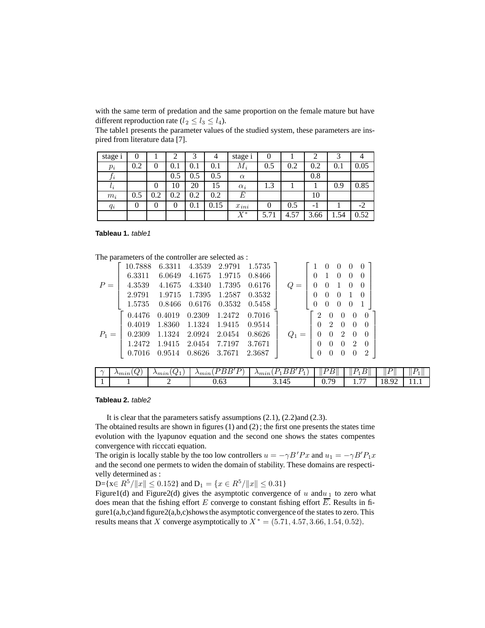with the same term of predation and the same proportion on the female mature but have different reproduction rate ( $l_2 \leq l_3 \leq l_4$ ).

The table1 presents the parameter values of the studied system, these parameters are inspired from literature data [7].

| stage i   | 0   |     | 2   | ⌒         | 4    | stage i    |      |      |      |      |      |
|-----------|-----|-----|-----|-----------|------|------------|------|------|------|------|------|
| $p_i$     | 0.2 | 0   | 0.1 | $\rm 0.1$ | 0.1  | $M_i$      | 0.5  | 0.2  | 0.2  | 0.1  | 0.05 |
| $J\,i$    |     |     | 0.5 | 0.5       | 0.5  | $\alpha$   |      |      | 0.8  |      |      |
| $\iota_i$ |     | 0   | 10  | 20        | 15   | $\alpha_i$ | 1.3  |      |      | 0.9  | 0.85 |
| $m_i$     | 0.5 | 0.2 | 0.2 | 0.2       | 0.2  | Е          |      |      | 10   |      |      |
| $q_i$     | 0   | 0   |     | $0.1\,$   | 0.15 | $x_{ini}$  |      | 0.5  | - 1  |      | $-2$ |
|           |     |     |     |           |      | $X^*$      | 5.71 | 4.57 | 3.66 | 1.54 | 0.52 |

#### **Tableau 1.** table1

The parameters of the controller are selected as :

|       | 10.7888 | 6.3311 | 4.3539 2.9791 1.5735                   |                                              |                                       | $\overline{0}$ | $\theta$                    | $\overline{0}$ | $\overline{0}$   |  |
|-------|---------|--------|----------------------------------------|----------------------------------------------|---------------------------------------|----------------|-----------------------------|----------------|------------------|--|
|       | 6.3311  |        | 6.0649 4.1675 1.9715 0.8466            |                                              | $0\quad1$                             |                | $\overline{0}$              | $\overline{0}$ |                  |  |
| $P =$ |         |        |                                        | 4.3539 4.1675 4.3340 1.7395 0.6176           |                                       |                | $0 \t 0 \t 1 \t 0$          |                | $\overline{0}$   |  |
|       |         |        |                                        | 2.9791 1.9715 1.7395 1.2587 0.3532           | $0 \quad 0 \quad 0 \quad 1$           |                |                             |                |                  |  |
|       |         |        | 1.5735  0.8466  0.6176  0.3532  0.5458 |                                              | $\begin{bmatrix} 0 \end{bmatrix}$     | $\overline{0}$ | $\overline{0}$              | - 0            |                  |  |
|       | 0.4476  |        |                                        | $0.4019$ $0.2309$ $1.2472$ $0.7016$          | $\begin{pmatrix} 2 & 0 \end{pmatrix}$ |                | $\theta$                    | $\overline{0}$ | $\left( \right)$ |  |
|       |         |        |                                        | $0.4019$ $1.8360$ $1.1324$ $1.9415$ $0.9514$ |                                       |                | $0\quad 2\quad 0$           | $\overline{0}$ |                  |  |
| $P_1$ |         |        |                                        | $0.2309$ $1.1324$ $2.0924$ $2.0454$ $0.8626$ |                                       |                | $0 \quad 0 \quad 2$         | $\overline{0}$ | $\overline{0}$   |  |
|       |         |        | 1.2472 1.9415 2.0454 7.7197 3.7671     |                                              |                                       |                | $0 \quad 0 \quad 0 \quad 2$ |                | $\overline{0}$   |  |
|       |         |        | 0.7016  0.9514  0.8626  3.7671  2.3687 |                                              |                                       |                |                             |                | $\overline{2}$   |  |
|       |         |        |                                        |                                              |                                       |                |                             |                |                  |  |

| $\sim$ | Ω,<br>W.<br>$\gamma_{min}$ | $\mathcal{Q}_1$<br>$\gamma_{min}$ | D<br>R'<br>D<br>$\gamma_{min}$<br>-<br>- | $\mathbf{D}$<br>$\mathbf$<br>. .<br>◡<br>$\gamma_{min}$<br><u>. на стр</u><br>-<br><b>I</b><br><b>.</b> | ,<br>. .<br>- | $\overline{\phantom{0}}$<br>$\mathbf{D}$<br>↩<br>11 L<br>∸<br><b>I</b> | $\parallel$ $l$<br>D     | ⊪<br><b>.</b> |
|--------|----------------------------|-----------------------------------|------------------------------------------|---------------------------------------------------------------------------------------------------------|---------------|------------------------------------------------------------------------|--------------------------|---------------|
|        |                            | -                                 | $\overline{\phantom{a}}$<br>0.63         | 3.145                                                                                                   | 70<br>∪.≀ ∠   | $\overline{\phantom{m}}$<br>$\cdots$                                   | $\Omega$<br>I O<br>10.74 | - 4<br>.      |

#### **Tableau 2.** table2

It is clear that the parameters satisfy assumptions (2.1), (2.2)and (2.3).

The obtained results are shown in figures (1) and (2) ; the first one presents the states time evolution with the lyapunov equation and the second one shows the states compentes convergence with ricccati equation.

The origin is locally stable by the too low controllers  $u = -\gamma B' P x$  and  $u_1 = -\gamma B' P_1 x$ and the second one permets to widen the domain of stability. These domains are respectivelly determined as :

D={ $x \in R^5 / ||x|| \le 0.152$ } and  $D_1 = \{x \in R^5 / ||x|| \le 0.31\}$ 

Figure1(d) and Figure2(d) gives the asymptotic convergence of  $u$  and  $u_1$  to zero what does mean that the fishing effort E converge to constant fishing effort  $\overline{E}$ . Results in figure1(a,b,c)and figure2(a,b,c)shows the asymptotic convergence of the states to zero. This results means that X converge asymptotically to  $X^* = (5.71, 4.57, 3.66, 1.54, 0.52)$ .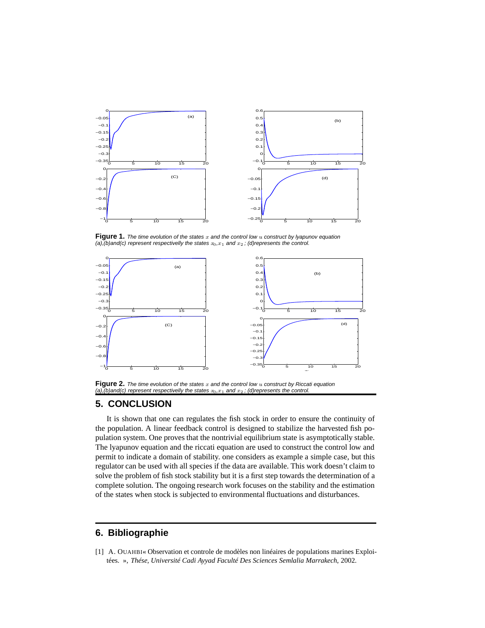

**Figure 1.** The time evolution of the states x and the control low u construct by lyapunov equation (a),(b)and(c) represent respectivelly the states  $x_0,x_1$  and  $x_2$ ; (d)represents the control.



**Figure 2.** The time evolution of the states  $x$  and the control low  $u$  construct by Riccati equation (a),(b)and(c) represent respectivelly the states  $x_0,x_1$  and  $x_2$ ; (d)represents the control.

## **5. CONCLUSION**

It is shown that one can regulates the fish stock in order to ensure the continuity of the population. A linear feedback control is designed to stabilize the harvested fish population system. One proves that the nontrivial equilibrium state is asymptotically stable. The lyapunov equation and the riccati equation are used to construct the control low and permit to indicate a domain of stability. one considers as example a simple case, but this regulator can be used with all species if the data are available. This work doesn't claim to solve the problem of fish stock stability but it is a first step towards the determination of a complete solution. The ongoing research work focuses on the stability and the estimation of the states when stock is subjected to environmental fluctuations and disturbances.

# **6. Bibliographie**

[1] A. OUAHBI« Observation et controle de modèles non linéaires de populations marines Exploitées. », *Thése, Université Cadi Ayyad Faculté Des Sciences Semlalia Marrakech*, 2002.